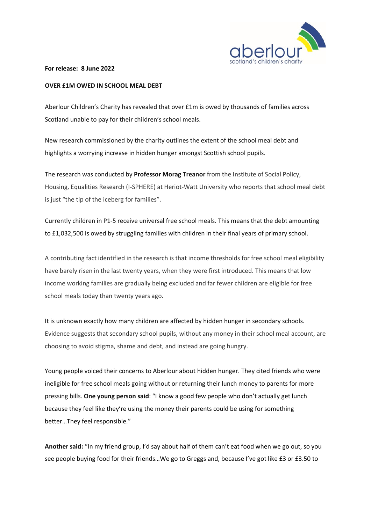

**For release: 8 June 2022** 

## **OVER £1M OWED IN SCHOOL MEAL DEBT**

Aberlour Children's Charity has revealed that over £1m is owed by thousands of families across Scotland unable to pay for their children's school meals.

New research commissioned by the charity outlines the extent of the school meal debt and highlights a worrying increase in hidden hunger amongst Scottish school pupils.

The research was conducted by **Professor Morag Treanor** from the Institute of Social Policy, Housing, Equalities Research (I-SPHERE) at Heriot-Watt University who reports that school meal debt is just "the tip of the iceberg for families".

Currently children in P1-5 receive universal free school meals. This means that the debt amounting to £1,032,500 is owed by struggling families with children in their final years of primary school.

A contributing fact identified in the research is that income thresholds for free school meal eligibility have barely risen in the last twenty years, when they were first introduced. This means that low income working families are gradually being excluded and far fewer children are eligible for free school meals today than twenty years ago.

It is unknown exactly how many children are affected by hidden hunger in secondary schools. Evidence suggests that secondary school pupils, without any money in their school meal account, are choosing to avoid stigma, shame and debt, and instead are going hungry.

Young people voiced their concerns to Aberlour about hidden hunger. They cited friends who were ineligible for free school meals going without or returning their lunch money to parents for more pressing bills. **One young person said**: "I know a good few people who don't actually get lunch because they feel like they're using the money their parents could be using for something better…They feel responsible."

**Another said:** "In my friend group, I'd say about half of them can't eat food when we go out, so you see people buying food for their friends…We go to Greggs and, because I've got like £3 or £3.50 to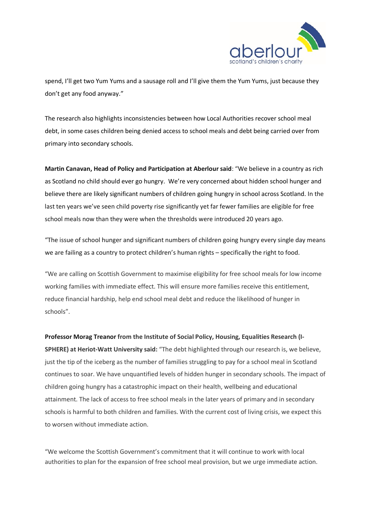

spend, I'll get two Yum Yums and a sausage roll and I'll give them the Yum Yums, just because they don't get any food anyway."

The research also highlights inconsistencies between how Local Authorities recover school meal debt, in some cases children being denied access to school meals and debt being carried over from primary into secondary schools.

**Martin Canavan, Head of Policy and Participation at Aberlour said**: "We believe in a country as rich as Scotland no child should ever go hungry. We're very concerned about hidden school hunger and believe there are likely significant numbers of children going hungry in school across Scotland. In the last ten years we've seen child poverty rise significantly yet far fewer families are eligible for free school meals now than they were when the thresholds were introduced 20 years ago.

"The issue of school hunger and significant numbers of children going hungry every single day means we are failing as a country to protect children's human rights – specifically the right to food.

"We are calling on Scottish Government to maximise eligibility for free school meals for low income working families with immediate effect. This will ensure more families receive this entitlement, reduce financial hardship, help end school meal debt and reduce the likelihood of hunger in schools".

**Professor Morag Treanor from the Institute of Social Policy, Housing, Equalities Research (I-SPHERE) at Heriot-Watt University said:** "The debt highlighted through our research is, we believe, just the tip of the iceberg as the number of families struggling to pay for a school meal in Scotland continues to soar. We have unquantified levels of hidden hunger in secondary schools. The impact of children going hungry has a catastrophic impact on their health, wellbeing and educational attainment. The lack of access to free school meals in the later years of primary and in secondary schools is harmful to both children and families. With the current cost of living crisis, we expect this to worsen without immediate action.

"We welcome the Scottish Government's commitment that it will continue to work with local authorities to plan for the expansion of free school meal provision, but we urge immediate action.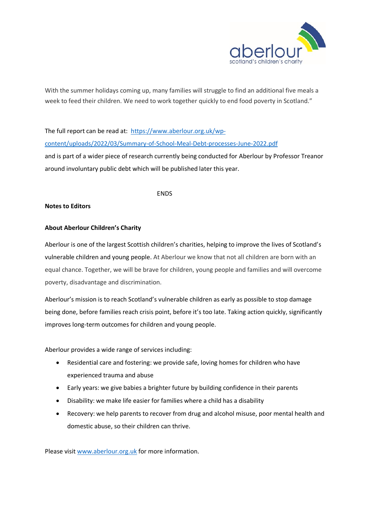

With the summer holidays coming up, many families will struggle to find an additional five meals a week to feed their children. We need to work together quickly to end food poverty in Scotland."

The full report can be read at: [https://www.aberlour.org.uk/wp](https://www.aberlour.org.uk/wp-content/uploads/2022/03/Summary-of-School-Meal-Debt-processes-June-2022.pdf)[content/uploads/2022/03/Summary-of-School-Meal-Debt-processes-June-2022.pdf](https://www.aberlour.org.uk/wp-content/uploads/2022/03/Summary-of-School-Meal-Debt-processes-June-2022.pdf) and is part of a wider piece of research currently being conducted for Aberlour by Professor Treanor around involuntary public debt which will be published later this year.

## ENDS

## **Notes to Editors**

## **About Aberlour Children's Charity**

Aberlour is one of the largest Scottish children's charities, helping to improve the lives of Scotland's vulnerable children and young people. At Aberlour we know that not all children are born with an equal chance. Together, we will be brave for children, young people and families and will overcome poverty, disadvantage and discrimination.

Aberlour's mission is to reach Scotland's vulnerable children as early as possible to stop damage being done, before families reach crisis point, before it's too late. Taking action quickly, significantly improves long-term outcomes for children and young people.

Aberlour provides a wide range of services including:

- Residential care and fostering: we provide safe, loving homes for children who have experienced trauma and abuse
- Early years: we give babies a brighter future by building confidence in their parents
- Disability: we make life easier for families where a child has a disability
- Recovery: we help parents to recover from drug and alcohol misuse, poor mental health and domestic abuse, so their children can thrive.

Please visi[t www.aberlour.org.uk](http://www.aberlour.org.uk/) for more information.